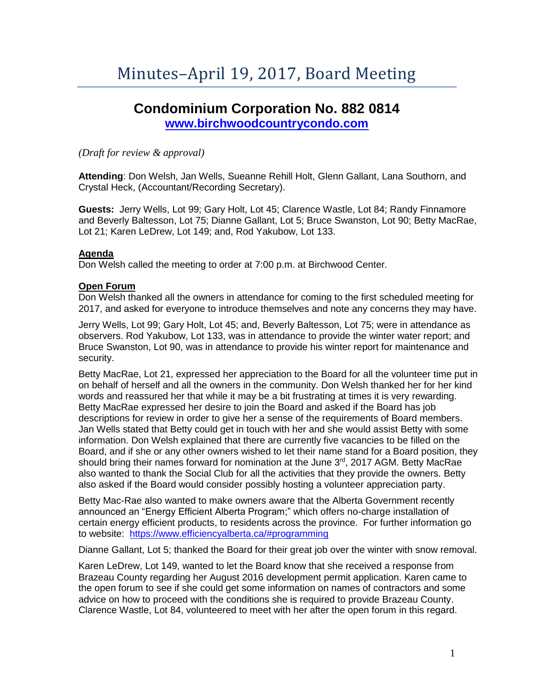# **Condominium Corporation No. 882 0814 [www.birchwoodcountrycondo.com](http://www.birchwoodcountrycondo.com/)**

# *(Draft for review & approval)*

**Attending**: Don Welsh, Jan Wells, Sueanne Rehill Holt, Glenn Gallant, Lana Southorn, and Crystal Heck, (Accountant/Recording Secretary).

**Guests:** Jerry Wells, Lot 99; Gary Holt, Lot 45; Clarence Wastle, Lot 84; Randy Finnamore and Beverly Baltesson, Lot 75; Dianne Gallant, Lot 5; Bruce Swanston, Lot 90; Betty MacRae, Lot 21; Karen LeDrew, Lot 149; and, Rod Yakubow, Lot 133.

## **Agenda**

Don Welsh called the meeting to order at 7:00 p.m. at Birchwood Center.

## **Open Forum**

Don Welsh thanked all the owners in attendance for coming to the first scheduled meeting for 2017, and asked for everyone to introduce themselves and note any concerns they may have.

Jerry Wells, Lot 99; Gary Holt, Lot 45; and, Beverly Baltesson, Lot 75; were in attendance as observers. Rod Yakubow, Lot 133, was in attendance to provide the winter water report; and Bruce Swanston, Lot 90, was in attendance to provide his winter report for maintenance and security.

Betty MacRae, Lot 21, expressed her appreciation to the Board for all the volunteer time put in on behalf of herself and all the owners in the community. Don Welsh thanked her for her kind words and reassured her that while it may be a bit frustrating at times it is very rewarding. Betty MacRae expressed her desire to join the Board and asked if the Board has job descriptions for review in order to give her a sense of the requirements of Board members. Jan Wells stated that Betty could get in touch with her and she would assist Betty with some information. Don Welsh explained that there are currently five vacancies to be filled on the Board, and if she or any other owners wished to let their name stand for a Board position, they should bring their names forward for nomination at the June 3<sup>rd</sup>, 2017 AGM. Betty MacRae also wanted to thank the Social Club for all the activities that they provide the owners. Betty also asked if the Board would consider possibly hosting a volunteer appreciation party.

Betty Mac-Rae also wanted to make owners aware that the Alberta Government recently announced an "Energy Efficient Alberta Program;" which offers no-charge installation of certain energy efficient products, to residents across the province. For further information go to website: <https://www.efficiencyalberta.ca/#programming>

Dianne Gallant, Lot 5; thanked the Board for their great job over the winter with snow removal.

Karen LeDrew, Lot 149, wanted to let the Board know that she received a response from Brazeau County regarding her August 2016 development permit application. Karen came to the open forum to see if she could get some information on names of contractors and some advice on how to proceed with the conditions she is required to provide Brazeau County. Clarence Wastle, Lot 84, volunteered to meet with her after the open forum in this regard.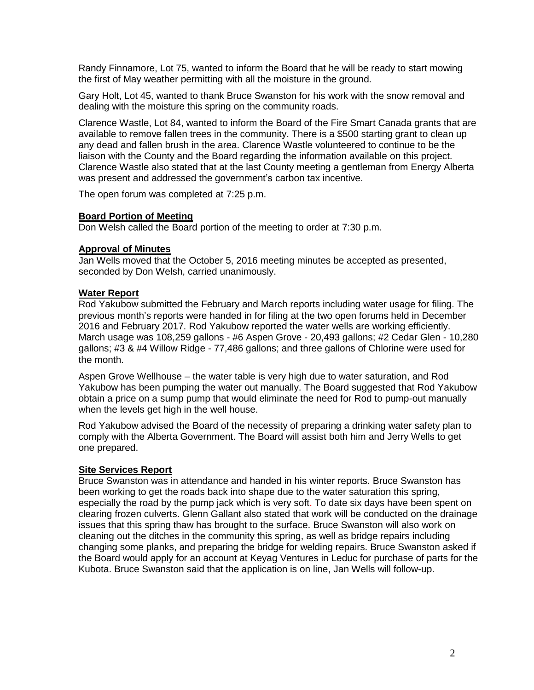Randy Finnamore, Lot 75, wanted to inform the Board that he will be ready to start mowing the first of May weather permitting with all the moisture in the ground.

Gary Holt, Lot 45, wanted to thank Bruce Swanston for his work with the snow removal and dealing with the moisture this spring on the community roads.

Clarence Wastle, Lot 84, wanted to inform the Board of the Fire Smart Canada grants that are available to remove fallen trees in the community. There is a \$500 starting grant to clean up any dead and fallen brush in the area. Clarence Wastle volunteered to continue to be the liaison with the County and the Board regarding the information available on this project. Clarence Wastle also stated that at the last County meeting a gentleman from Energy Alberta was present and addressed the government's carbon tax incentive.

The open forum was completed at 7:25 p.m.

## **Board Portion of Meeting**

Don Welsh called the Board portion of the meeting to order at 7:30 p.m.

## **Approval of Minutes**

Jan Wells moved that the October 5, 2016 meeting minutes be accepted as presented, seconded by Don Welsh, carried unanimously.

## **Water Report**

Rod Yakubow submitted the February and March reports including water usage for filing. The previous month's reports were handed in for filing at the two open forums held in December 2016 and February 2017. Rod Yakubow reported the water wells are working efficiently. March usage was 108,259 gallons - #6 Aspen Grove - 20,493 gallons; #2 Cedar Glen - 10,280 gallons; #3 & #4 Willow Ridge - 77,486 gallons; and three gallons of Chlorine were used for the month.

Aspen Grove Wellhouse – the water table is very high due to water saturation, and Rod Yakubow has been pumping the water out manually. The Board suggested that Rod Yakubow obtain a price on a sump pump that would eliminate the need for Rod to pump-out manually when the levels get high in the well house.

Rod Yakubow advised the Board of the necessity of preparing a drinking water safety plan to comply with the Alberta Government. The Board will assist both him and Jerry Wells to get one prepared.

# **Site Services Report**

Bruce Swanston was in attendance and handed in his winter reports. Bruce Swanston has been working to get the roads back into shape due to the water saturation this spring, especially the road by the pump jack which is very soft. To date six days have been spent on clearing frozen culverts. Glenn Gallant also stated that work will be conducted on the drainage issues that this spring thaw has brought to the surface. Bruce Swanston will also work on cleaning out the ditches in the community this spring, as well as bridge repairs including changing some planks, and preparing the bridge for welding repairs. Bruce Swanston asked if the Board would apply for an account at Keyag Ventures in Leduc for purchase of parts for the Kubota. Bruce Swanston said that the application is on line, Jan Wells will follow-up.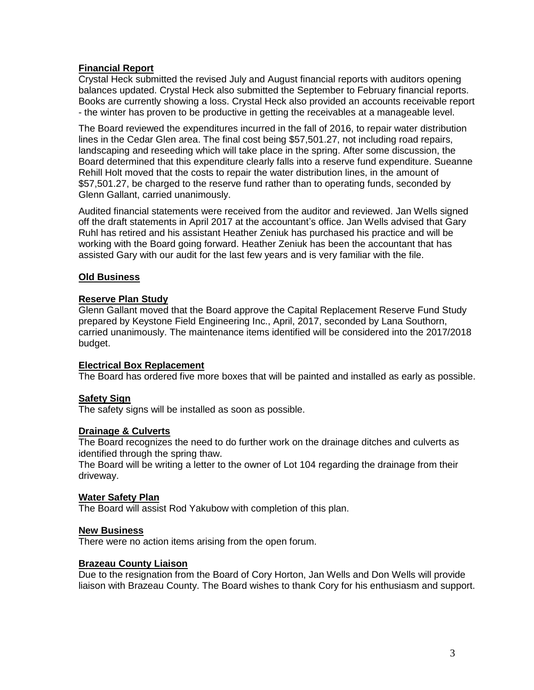# **Financial Report**

Crystal Heck submitted the revised July and August financial reports with auditors opening balances updated. Crystal Heck also submitted the September to February financial reports. Books are currently showing a loss. Crystal Heck also provided an accounts receivable report - the winter has proven to be productive in getting the receivables at a manageable level.

The Board reviewed the expenditures incurred in the fall of 2016, to repair water distribution lines in the Cedar Glen area. The final cost being \$57,501.27, not including road repairs, landscaping and reseeding which will take place in the spring. After some discussion, the Board determined that this expenditure clearly falls into a reserve fund expenditure. Sueanne Rehill Holt moved that the costs to repair the water distribution lines, in the amount of \$57,501.27, be charged to the reserve fund rather than to operating funds, seconded by Glenn Gallant, carried unanimously.

Audited financial statements were received from the auditor and reviewed. Jan Wells signed off the draft statements in April 2017 at the accountant's office. Jan Wells advised that Gary Ruhl has retired and his assistant Heather Zeniuk has purchased his practice and will be working with the Board going forward. Heather Zeniuk has been the accountant that has assisted Gary with our audit for the last few years and is very familiar with the file.

# **Old Business**

# **Reserve Plan Study**

Glenn Gallant moved that the Board approve the Capital Replacement Reserve Fund Study prepared by Keystone Field Engineering Inc., April, 2017, seconded by Lana Southorn, carried unanimously. The maintenance items identified will be considered into the 2017/2018 budget.

#### **Electrical Box Replacement**

The Board has ordered five more boxes that will be painted and installed as early as possible.

# **Safety Sign**

The safety signs will be installed as soon as possible.

# **Drainage & Culverts**

The Board recognizes the need to do further work on the drainage ditches and culverts as identified through the spring thaw.

The Board will be writing a letter to the owner of Lot 104 regarding the drainage from their driveway.

# **Water Safety Plan**

The Board will assist Rod Yakubow with completion of this plan.

#### **New Business**

There were no action items arising from the open forum.

# **Brazeau County Liaison**

Due to the resignation from the Board of Cory Horton, Jan Wells and Don Wells will provide liaison with Brazeau County. The Board wishes to thank Cory for his enthusiasm and support.